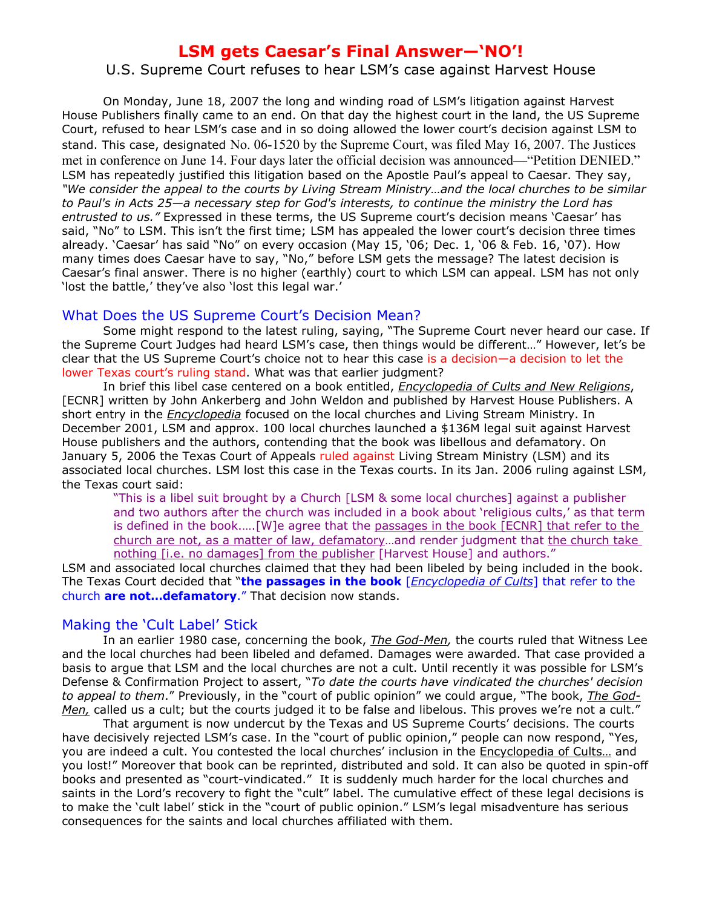# **LSM gets Caesar's Final Answer—'NO'!**

## U.S. Supreme Court refuses to hear LSM's case against Harvest House

On Monday, June 18, 2007 the long and winding road of LSM's litigation against Harvest House Publishers finally came to an end. On that day the highest court in the land, the US Supreme Court, refused to hear LSM's case and in so doing allowed the lower court's decision against LSM to stand. This case, designated No. 06-1520 by the Supreme Court, was filed May 16, 2007. The Justices met in conference on June 14. Four days later the official decision was announced—"Petition DENIED." LSM has repeatedly justified this litigation based on the Apostle Paul's appeal to Caesar. They say, *"We consider the appeal to the courts by Living Stream Ministry…and the local churches to be similar to Paul's in Acts 25*—*a necessary step for God's interests, to continue the ministry the Lord has entrusted to us."* Expressed in these terms, the US Supreme court's decision means 'Caesar' has said, "No" to LSM. This isn't the first time; LSM has appealed the lower court's decision three times already. 'Caesar' has said "No" on every occasion (May 15, '06; Dec. 1, '06 & Feb. 16, '07). How many times does Caesar have to say, "No," before LSM gets the message? The latest decision is Caesar's final answer. There is no higher (earthly) court to which LSM can appeal. LSM has not only 'lost the battle,' they've also 'lost this legal war.'

## What Does the US Supreme Court's Decision Mean?

Some might respond to the latest ruling, saying, "The Supreme Court never heard our case. If the Supreme Court Judges had heard LSM's case, then things would be different…" However, let's be clear that the US Supreme Court's choice not to hear this case is a decision—a decision to let the lower Texas court's ruling stand. What was that earlier judgment?

In brief this libel case centered on a book entitled, *Encyclopedia of Cults and New Religions*, [ECNR] written by John Ankerberg and John Weldon and published by Harvest House Publishers. A short entry in the *Encyclopedia* focused on the local churches and Living Stream Ministry. In December 2001, LSM and approx. 100 local churches launched a \$136M legal suit against Harvest House publishers and the authors, contending that the book was libellous and defamatory. On January 5, 2006 the Texas Court of Appeals ruled against Living Stream Ministry (LSM) and its associated local churches. LSM lost this case in the Texas courts. In its Jan. 2006 ruling against LSM, the Texas court said:

"This is a libel suit brought by a Church [LSM & some local churches] against a publisher and two authors after the church was included in a book about 'religious cults,' as that term is defined in the book.….[W]e agree that the passages in the book [ECNR] that refer to the church are not, as a matter of law, defamatory...and render judgment that the church take nothing [i.e. no damages] from the publisher [Harvest House] and authors."

LSM and associated local churches claimed that they had been libeled by being included in the book. The Texas Court decided that "**the passages in the book** [*Encyclopedia of Cults*] that refer to the church **are not…defamatory**." That decision now stands.

## Making the 'Cult Label' Stick

In an earlier 1980 case, concerning the book, *The God-Men,* the courts ruled that Witness Lee and the local churches had been libeled and defamed. Damages were awarded. That case provided a basis to argue that LSM and the local churches are not a cult. Until recently it was possible for LSM's Defense & Confirmation Project to assert, "*To date the courts have vindicated the churches' decision to appeal to them*." Previously, in the "court of public opinion" we could argue, "The book, *The God-Men,* called us a cult; but the courts judged it to be false and libelous. This proves we're not a cult."

That argument is now undercut by the Texas and US Supreme Courts' decisions. The courts have decisively rejected LSM's case. In the "court of public opinion," people can now respond, "Yes, you are indeed a cult. You contested the local churches' inclusion in the Encyclopedia of Cults… and you lost!" Moreover that book can be reprinted, distributed and sold. It can also be quoted in spin-off books and presented as "court-vindicated." It is suddenly much harder for the local churches and saints in the Lord's recovery to fight the "cult" label. The cumulative effect of these legal decisions is to make the 'cult label' stick in the "court of public opinion." LSM's legal misadventure has serious consequences for the saints and local churches affiliated with them.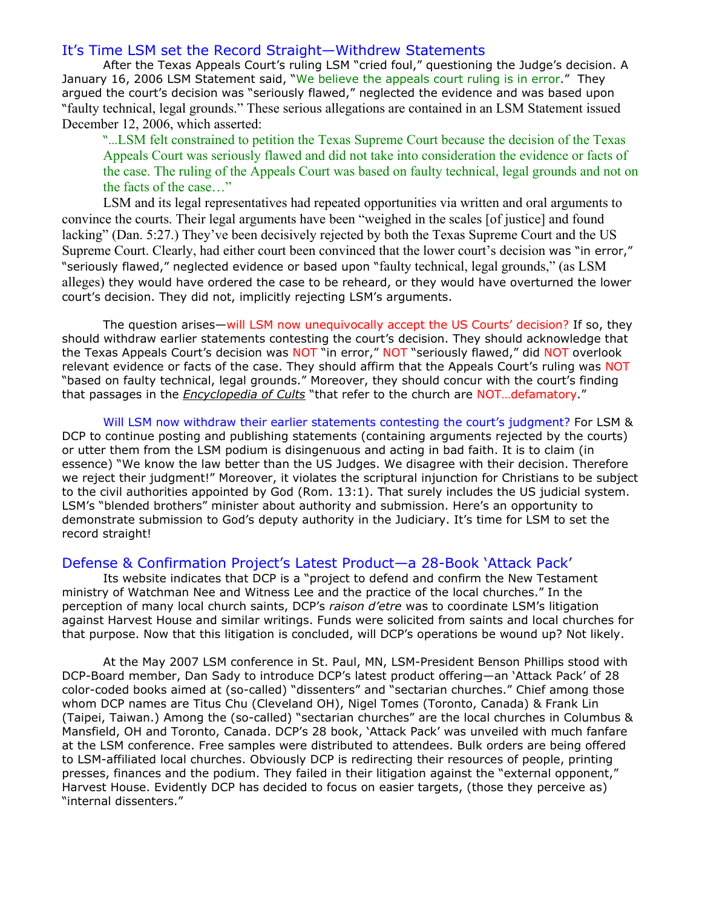## It's Time LSM set the Record Straight—Withdrew Statements

After the Texas Appeals Court's ruling LSM "cried foul," questioning the Judge's decision. A January 16, 2006 LSM Statement said, "We believe the appeals court ruling is in error." They argued the court's decision was "seriously flawed," neglected the evidence and was based upon "faulty technical, legal grounds." These serious allegations are contained in an LSM Statement issued December 12, 2006, which asserted:

"…LSM felt constrained to petition the Texas Supreme Court because the decision of the Texas Appeals Court was seriously flawed and did not take into consideration the evidence or facts of the case. The ruling of the Appeals Court was based on faulty technical, legal grounds and not on the facts of the case…"

LSM and its legal representatives had repeated opportunities via written and oral arguments to convince the courts. Their legal arguments have been "weighed in the scales [of justice] and found lacking" (Dan. 5:27.) They've been decisively rejected by both the Texas Supreme Court and the US Supreme Court. Clearly, had either court been convinced that the lower court's decision was "in error," "seriously flawed," neglected evidence or based upon "faulty technical, legal grounds," (as LSM alleges) they would have ordered the case to be reheard, or they would have overturned the lower court's decision. They did not, implicitly rejecting LSM's arguments.

The question arises—will LSM now unequivocally accept the US Courts' decision? If so, they should withdraw earlier statements contesting the court's decision. They should acknowledge that the Texas Appeals Court's decision was NOT "in error," NOT "seriously flawed," did NOT overlook relevant evidence or facts of the case. They should affirm that the Appeals Court's ruling was NOT "based on faulty technical, legal grounds." Moreover, they should concur with the court's finding that passages in the *Encyclopedia of Cults* "that refer to the church are NOT…defamatory."

Will LSM now withdraw their earlier statements contesting the court's judgment? For LSM & DCP to continue posting and publishing statements (containing arguments rejected by the courts) or utter them from the LSM podium is disingenuous and acting in bad faith. It is to claim (in essence) "We know the law better than the US Judges. We disagree with their decision. Therefore we reject their judgment!" Moreover, it violates the scriptural injunction for Christians to be subject to the civil authorities appointed by God (Rom. 13:1). That surely includes the US judicial system. LSM's "blended brothers" minister about authority and submission. Here's an opportunity to demonstrate submission to God's deputy authority in the Judiciary. It's time for LSM to set the record straight!

#### Defense & Confirmation Project's Latest Product—a 28-Book 'Attack Pack'

Its website indicates that DCP is a "project to defend and confirm the New Testament ministry of Watchman Nee and Witness Lee and the practice of the local churches." In the perception of many local church saints, DCP's *raison d'etre* was to coordinate LSM's litigation against Harvest House and similar writings. Funds were solicited from saints and local churches for that purpose. Now that this litigation is concluded, will DCP's operations be wound up? Not likely.

At the May 2007 LSM conference in St. Paul, MN, LSM-President Benson Phillips stood with DCP-Board member, Dan Sady to introduce DCP's latest product offering—an 'Attack Pack' of 28 color-coded books aimed at (so-called) "dissenters" and "sectarian churches." Chief among those whom DCP names are Titus Chu (Cleveland OH), Nigel Tomes (Toronto, Canada) & Frank Lin (Taipei, Taiwan.) Among the (so-called) "sectarian churches" are the local churches in Columbus & Mansfield, OH and Toronto, Canada. DCP's 28 book, 'Attack Pack' was unveiled with much fanfare at the LSM conference. Free samples were distributed to attendees. Bulk orders are being offered to LSM-affiliated local churches. Obviously DCP is redirecting their resources of people, printing presses, finances and the podium. They failed in their litigation against the "external opponent," Harvest House. Evidently DCP has decided to focus on easier targets, (those they perceive as) "internal dissenters."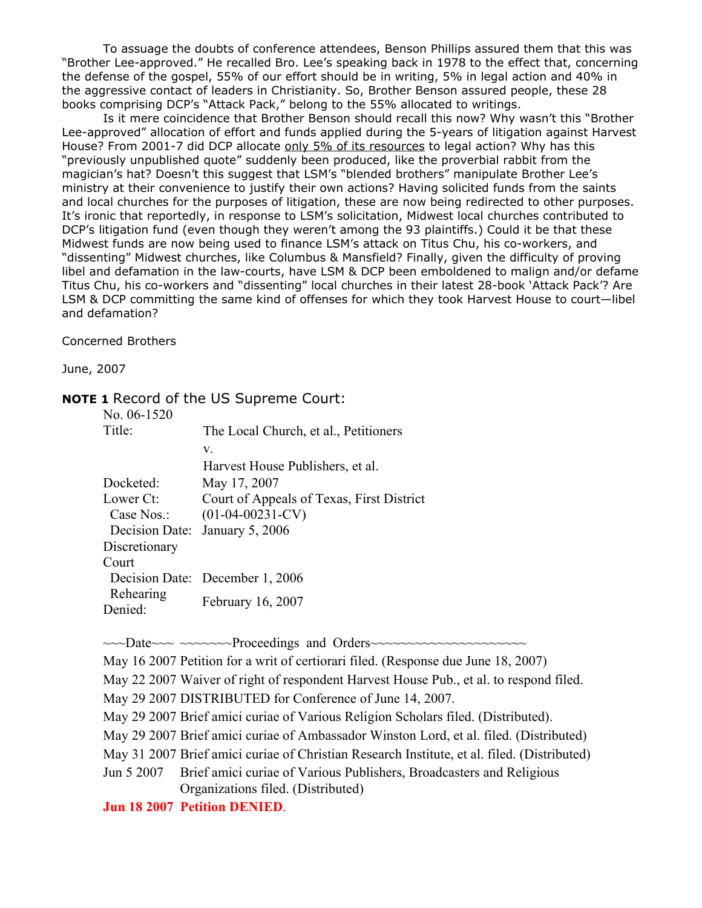To assuage the doubts of conference attendees, Benson Phillips assured them that this was "Brother Lee-approved." He recalled Bro. Lee's speaking back in 1978 to the effect that, concerning the defense of the gospel, 55% of our effort should be in writing, 5% in legal action and 40% in the aggressive contact of leaders in Christianity. So, Brother Benson assured people, these 28 books comprising DCP's "Attack Pack," belong to the 55% allocated to writings.

Is it mere coincidence that Brother Benson should recall this now? Why wasn't this "Brother Lee-approved" allocation of effort and funds applied during the 5-years of litigation against Harvest House? From 2001-7 did DCP allocate only 5% of its resources to legal action? Why has this "previously unpublished quote" suddenly been produced, like the proverbial rabbit from the magician's hat? Doesn't this suggest that LSM's "blended brothers" manipulate Brother Lee's ministry at their convenience to justify their own actions? Having solicited funds from the saints and local churches for the purposes of litigation, these are now being redirected to other purposes. It's ironic that reportedly, in response to LSM's solicitation, Midwest local churches contributed to DCP's litigation fund (even though they weren't among the 93 plaintiffs.) Could it be that these Midwest funds are now being used to finance LSM's attack on Titus Chu, his co-workers, and "dissenting" Midwest churches, like Columbus & Mansfield? Finally, given the difficulty of proving libel and defamation in the law-courts, have LSM & DCP been emboldened to malign and/or defame Titus Chu, his co-workers and "dissenting" local churches in their latest 28-book 'Attack Pack'? Are LSM & DCP committing the same kind of offenses for which they took Harvest House to court—libel and defamation?

Concerned Brothers

June, 2007

## **NOTE 1** Record of the US Supreme Court:

| No. 06-1520   |                                           |
|---------------|-------------------------------------------|
| Title:        | The Local Church, et al., Petitioners     |
|               | V.                                        |
|               | Harvest House Publishers, et al.          |
| Docketed:     | May 17, 2007                              |
| Lower Ct:     | Court of Appeals of Texas, First District |
| Case Nos.:    | $(01-04-00231-CV)$                        |
|               | Decision Date: January 5, 2006            |
| Discretionary |                                           |
| Court         |                                           |
|               | Decision Date: December 1, 2006           |
| Rehearing     |                                           |
| Denied:       | February 16, 2007                         |

~~~Date~~~ ~~~~~~~Proceedings and Orders~~~~~~~~~~~~~~~~~~~~~

May 16 2007 Petition for a writ of certiorari filed. (Response due June 18, 2007)

May 22 2007 Waiver of right of respondent Harvest House Pub., et al. to respond filed.

May 29 2007 DISTRIBUTED for Conference of June 14, 2007.

May 29 2007 Brief amici curiae of Various Religion Scholars filed. (Distributed).

May 29 2007 Brief amici curiae of Ambassador Winston Lord, et al. filed. (Distributed)

May 31 2007 Brief amici curiae of Christian Research Institute, et al. filed. (Distributed)

Jun 5 2007 Brief amici curiae of Various Publishers, Broadcasters and Religious Organizations filed. (Distributed)

**Jun 18 2007 Petition DENIED**.